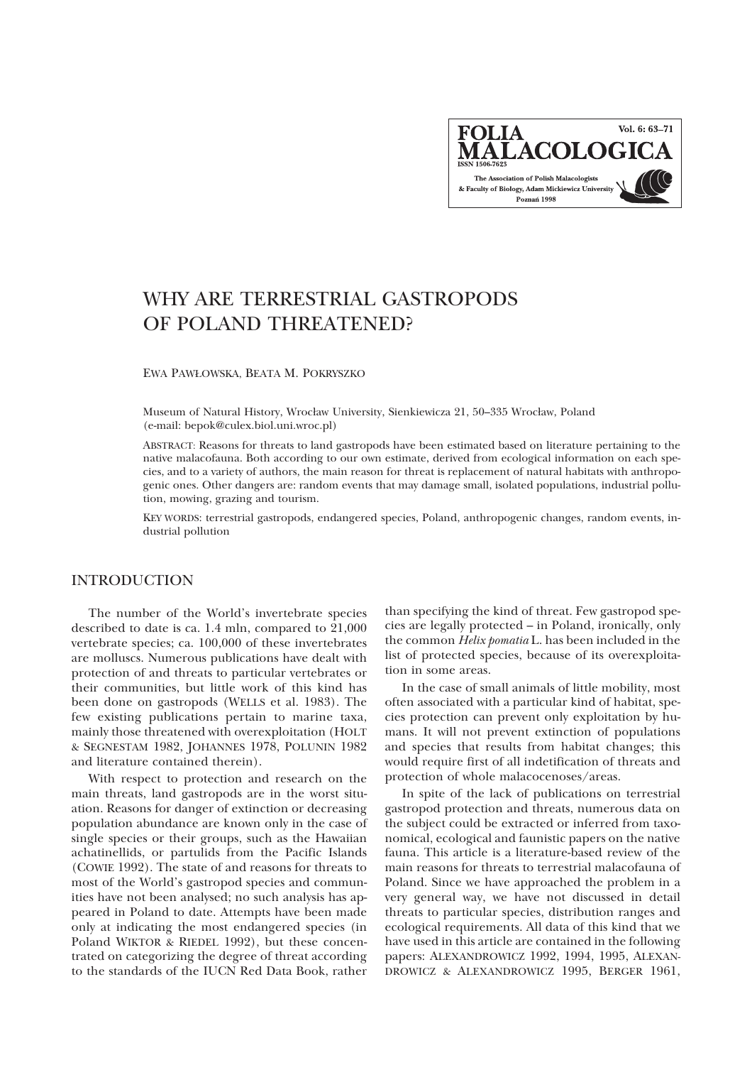Vol. 6: 63-71 **FOLIA MALACOLOGIC** The Association of Polish Malacologists & Faculty of Biology, Adam Mickiewicz University Poznań 1998

# WHY ARE TERRESTRIAL GASTROPODS OF POLAND THREATENED?

EWA PAW£OWSKA, BEATA M. POKRYSZKO

Museum of Natural History, Wroc³aw University, Sienkiewicza 21, 50–335 Wroc³aw, Poland (e-mail: bepok@culex.biol.uni.wroc.pl)

ABSTRACT: Reasons for threats to land gastropods have been estimated based on literature pertaining to the native malacofauna. Both according to our own estimate, derived from ecological information on each species, and to a variety of authors, the main reason for threat is replacement of natural habitats with anthropogenic ones. Other dangers are: random events that may damage small, isolated populations, industrial pollution, mowing, grazing and tourism.

KEY WORDS: terrestrial gastropods, endangered species, Poland, anthropogenic changes, random events, industrial pollution

# INTRODUCTION

The number of the World's invertebrate species described to date is ca. 1.4 mln, compared to  $21,000$ vertebrate species; ca. 100,000 of these invertebrates are molluscs. Numerous publications have dealt with protection of and threats to particular vertebrates or their communities, but little work of this kind has been done on gastropods (WELLS et al. 1983). The few existing publications pertain to marine taxa, mainly those threatened with overexploitation (HOLT & SEGNESTAM 1982, JOHANNES 1978, POLUNIN 1982 and literature contained therein).

With respect to protection and research on the main threats, land gastropods are in the worst situation. Reasons for danger of extinction or decreasing population abundance are known only in the case of single species or their groups, such as the Hawaiian achatinellids, or partulids from the Pacific Islands (COWIE 1992). The state of and reasons for threats to most of the World's gastropod species and communities have not been analysed; no such analysis has appeared in Poland to date. Attempts have been made only at indicating the most endangered species (in Poland WIKTOR & RIEDEL 1992), but these concentrated on categorizing the degree of threat according to the standards of the IUCN Red Data Book, rather

than specifying the kind of threat. Few gastropod species are legally protected – in Poland, ironically, only the common *Helix pomatia* L. has been included in the list of protected species, because of its overexploitation in some areas.

In the case of small animals of little mobility, most often associated with a particular kind of habitat, species protection can prevent only exploitation by humans. It will not prevent extinction of populations and species that results from habitat changes; this would require first of all indetification of threats and protection of whole malacocenoses/areas.

In spite of the lack of publications on terrestrial gastropod protection and threats, numerous data on the subject could be extracted or inferred from taxonomical, ecological and faunistic papers on the native fauna. This article is a literature-based review of the main reasons for threats to terrestrial malacofauna of Poland. Since we have approached the problem in a very general way, we have not discussed in detail threats to particular species, distribution ranges and ecological requirements. All data of this kind that we have used in this article are contained in the following papers: ALEXANDROWICZ 1992, 1994, 1995, ALEXAN-DROWICZ & ALEXANDROWICZ 1995, BERGER 1961,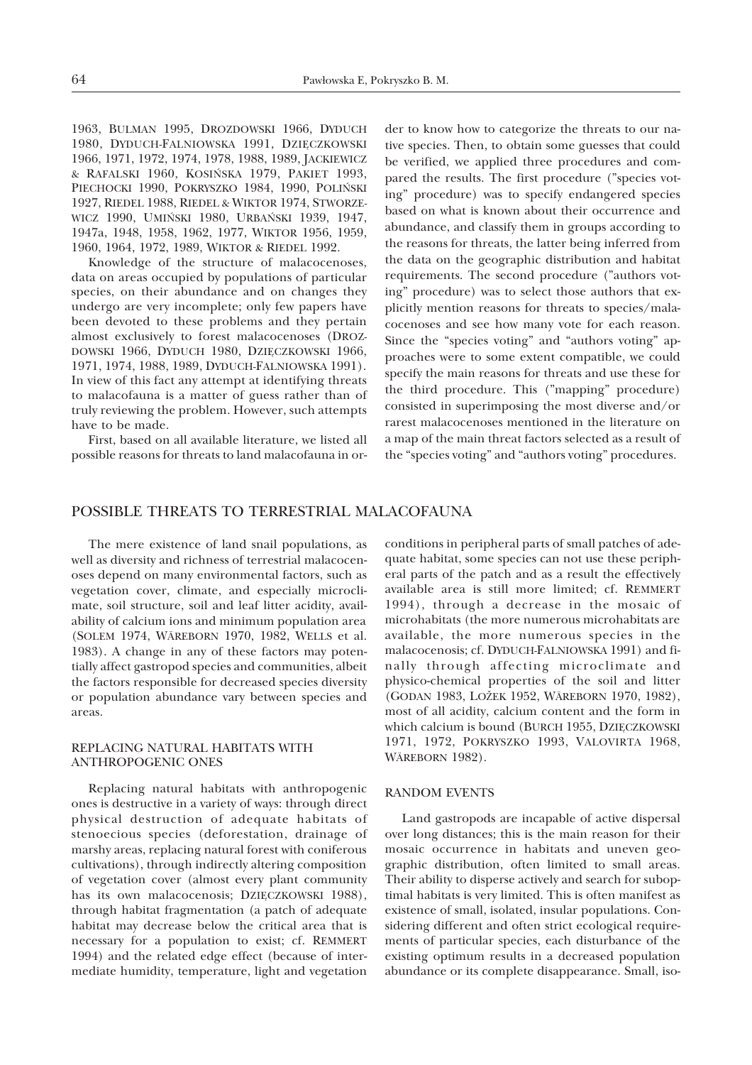1963, BULMAN 1995, DROZDOWSKI 1966, DYDUCH 1980, DYDUCH-FALNIOWSKA 1991, DZIĘCZKOWSKI 1966, 1971, 1972, 1974, 1978, 1988, 1989, JACKIEWICZ & RAFALSKI 1960, KOSIÑSKA 1979, PAKIET 1993, PIECHOCKI 1990, POKRYSZKO 1984, 1990, POLIŃSKI 1927, RIEDEL 1988, RIEDEL & WIKTOR 1974, STWORZE-WICZ 1990, UMIÑSKI 1980, URBAÑSKI 1939, 1947, 1947a, 1948, 1958, 1962, 1977, WIKTOR 1956, 1959, 1960, 1964, 1972, 1989, WIKTOR & RIEDEL 1992.

Knowledge of the structure of malacocenoses, data on areas occupied by populations of particular species, on their abundance and on changes they undergo are very incomplete; only few papers have been devoted to these problems and they pertain almost exclusively to forest malacocenoses (DROZ-DOWSKI 1966, DYDUCH 1980, DZIÊCZKOWSKI 1966, 1971, 1974, 1988, 1989, DYDUCH-FALNIOWSKA 1991). In view of this fact any attempt at identifying threats to malacofauna is a matter of guess rather than of truly reviewing the problem. However, such attempts have to be made.

First, based on all available literature, we listed all possible reasons for threats to land malacofauna in order to know how to categorize the threats to our native species. Then, to obtain some guesses that could be verified, we applied three procedures and compared the results. The first procedure ("species voting" procedure) was to specify endangered species based on what is known about their occurrence and abundance, and classify them in groups according to the reasons for threats, the latter being inferred from the data on the geographic distribution and habitat requirements. The second procedure ("authors voting" procedure) was to select those authors that explicitly mention reasons for threats to species/malacocenoses and see how many vote for each reason. Since the "species voting" and "authors voting" approaches were to some extent compatible, we could specify the main reasons for threats and use these for the third procedure. This ("mapping" procedure) consisted in superimposing the most diverse and/or rarest malacocenoses mentioned in the literature on a map of the main threat factors selected as a result of the "species voting" and "authors voting" procedures.

## POSSIBLE THREATS TO TERRESTRIAL MALACOFAUNA

The mere existence of land snail populations, as well as diversity and richness of terrestrial malacocenoses depend on many environmental factors, such as vegetation cover, climate, and especially microclimate, soil structure, soil and leaf litter acidity, availability of calcium ions and minimum population area (SOLEM 1974, WÄREBORN 1970, 1982, WELLS et al. 1983). A change in any of these factors may potentially affect gastropod species and communities, albeit the factors responsible for decreased species diversity or population abundance vary between species and areas.

#### REPLACING NATURAL HABITATS WITH ANTHROPOGENIC ONES

Replacing natural habitats with anthropogenic ones is destructive in a variety of ways: through direct physical destruction of adequate habitats of stenoecious species (deforestation, drainage of marshy areas, replacing natural forest with coniferous cultivations), through indirectly altering composition of vegetation cover (almost every plant community has its own malacocenosis; DZIĘCZKOWSKI 1988), through habitat fragmentation (a patch of adequate habitat may decrease below the critical area that is necessary for a population to exist; cf. REMMERT 1994) and the related edge effect (because of intermediate humidity, temperature, light and vegetation

conditions in peripheral parts of small patches of adequate habitat, some species can not use these peripheral parts of the patch and as a result the effectively available area is still more limited; cf. REMMERT 1994), through a decrease in the mosaic of microhabitats (the more numerous microhabitats are available, the more numerous species in the malacocenosis; cf. DYDUCH-FALNIOWSKA 1991) and finally through affecting microclimate and physico-chemical properties of the soil and litter (GODAN 1983, LOZEK 1952, WÄREBORN 1970, 1982), most of all acidity, calcium content and the form in which calcium is bound (BURCH 1955, DZIECZKOWSKI 1971, 1972, POKRYSZKO 1993, VALOVIRTA 1968, WÄREBORN 1982).

#### RANDOM EVENTS

Land gastropods are incapable of active dispersal over long distances; this is the main reason for their mosaic occurrence in habitats and uneven geographic distribution, often limited to small areas. Their ability to disperse actively and search for suboptimal habitats is very limited. This is often manifest as existence of small, isolated, insular populations. Considering different and often strict ecological requirements of particular species, each disturbance of the existing optimum results in a decreased population abundance or its complete disappearance. Small, iso-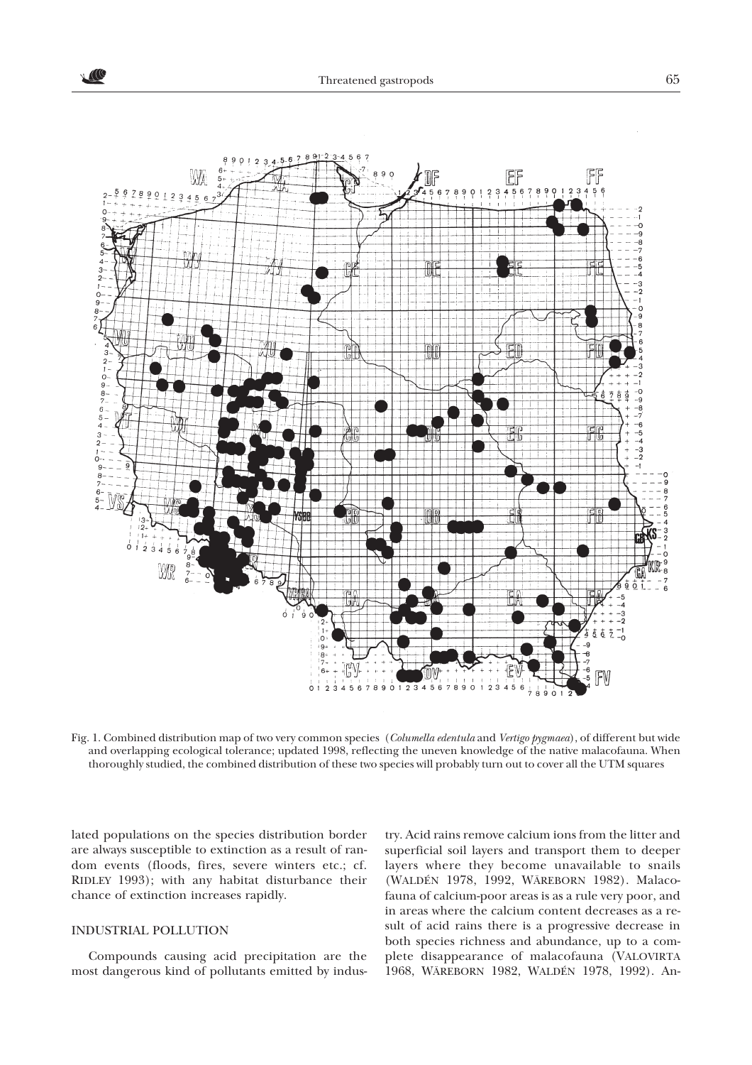

Fig. 1. Combined distribution map of two very common species (*Columella edentula* and *Vertigo pygmaea*), of different but wide and overlapping ecological tolerance; updated 1998, reflecting the uneven knowledge of the native malacofauna. When thoroughly studied, the combined distribution of these two species will probably turn out to cover all the UTM squares

lated populations on the species distribution border are always susceptible to extinction as a result of random events (floods, fires, severe winters etc.; cf. RIDLEY 1993); with any habitat disturbance their chance of extinction increases rapidly.

#### INDUSTRIAL POLLUTION

Compounds causing acid precipitation are the most dangerous kind of pollutants emitted by indus-

try. Acid rains remove calcium ions from the litter and superficial soil layers and transport them to deeper layers where they become unavailable to snails (WALDÉN 1978, 1992, WÄREBORN 1982). Malacofauna of calcium-poor areas is as a rule very poor, and in areas where the calcium content decreases as a result of acid rains there is a progressive decrease in both species richness and abundance, up to a complete disappearance of malacofauna (VALOVIRTA 1968, WÄREBORN 1982, WALDÉN 1978, 1992). An-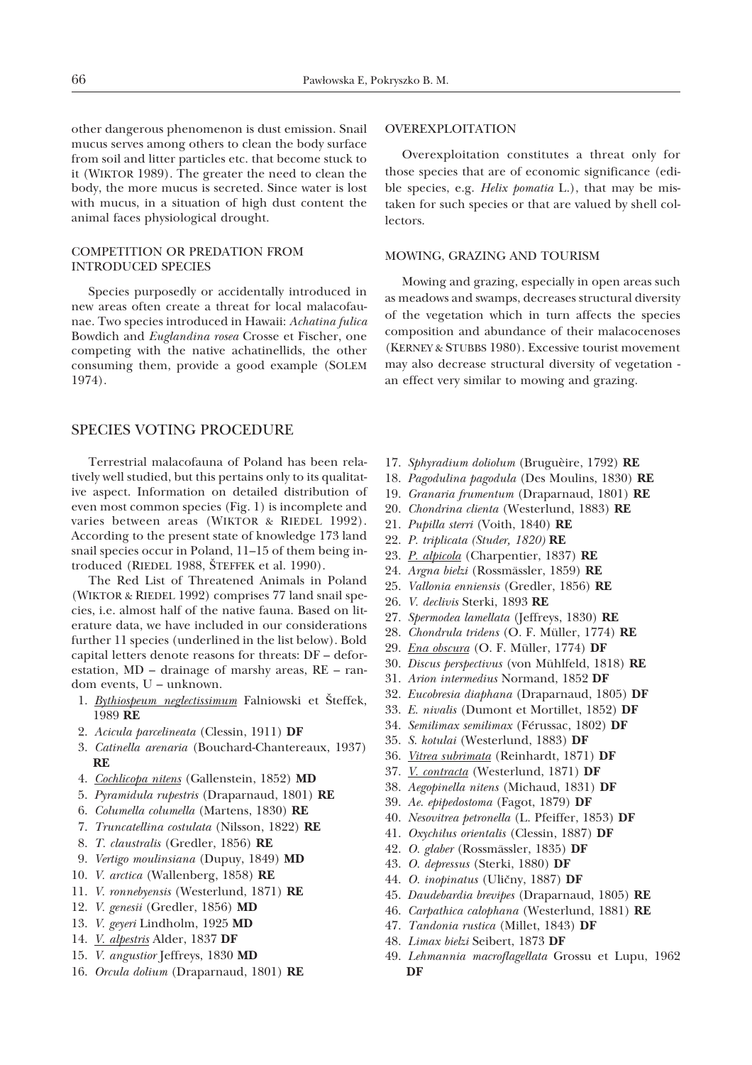other dangerous phenomenon is dust emission. Snail mucus serves among others to clean the body surface from soil and litter particles etc. that become stuck to it (WIKTOR 1989). The greater the need to clean the body, the more mucus is secreted. Since water is lost with mucus, in a situation of high dust content the animal faces physiological drought.

#### COMPETITION OR PREDATION FROM INTRODUCED SPECIES

Species purposedly or accidentally introduced in new areas often create a threat for local malacofaunae. Two species introduced in Hawaii: *Achatina fulica* Bowdich and *Euglandina rosea* Crosse et Fischer, one competing with the native achatinellids, the other consuming them, provide a good example (SOLEM 1974).

### SPECIES VOTING PROCEDURE

Terrestrial malacofauna of Poland has been relatively well studied, but this pertains only to its qualitative aspect. Information on detailed distribution of even most common species (Fig. 1) is incomplete and varies between areas (WIKTOR & RIEDEL 1992). According to the present state of knowledge 173 land snail species occur in Poland, 11–15 of them being introduced (RIEDEL 1988, ŠTEFFEK et al. 1990).

The Red List of Threatened Animals in Poland (WIKTOR & RIEDEL 1992) comprises 77 land snail species, i.e. almost half of the native fauna. Based on literature data, we have included in our considerations further 11 species (underlined in the list below). Bold capital letters denote reasons for threats: DF – deforestation, MD – drainage of marshy areas, RE – random events, U – unknown.

- 1. *Bythiospeum neglectissimum* Falniowski et Šteffek, 1989 **RE**
- 2. *Acicula parcelineata* (Clessin, 1911) **DF**
- 3. *Catinella arenaria* (Bouchard-Chantereaux, 1937) **RE**
- 4. *Cochlicopa nitens* (Gallenstein, 1852) **MD**
- 5. *Pyramidula rupestris* (Draparnaud, 1801) **RE**
- 6. *Columella columella* (Martens, 1830) **RE**
- 7. *Truncatellina costulata* (Nilsson, 1822) **RE**
- 8. *T. claustralis* (Gredler, 1856) **RE**
- 9. *Vertigo moulinsiana* (Dupuy, 1849) **MD**
- 10. *V. arctica* (Wallenberg, 1858) **RE**
- 11. *V. ronnebyensis* (Westerlund, 1871) **RE**
- 12. *V. genesii* (Gredler, 1856) **MD**
- 13. *V. geyeri* Lindholm, 1925 **MD**
- 14. *V. alpestris* Alder, 1837 **DF**
- 15. *V. angustior* Jeffreys, 1830 **MD**
- 16. *Orcula dolium* (Draparnaud, 1801) **RE**

#### OVEREXPLOITATION

Overexploitation constitutes a threat only for those species that are of economic significance (edible species, e.g. *Helix pomatia* L.), that may be mistaken for such species or that are valued by shell collectors.

## MOWING, GRAZING AND TOURISM

Mowing and grazing, especially in open areas such as meadows and swamps, decreases structural diversity of the vegetation which in turn affects the species composition and abundance of their malacocenoses (KERNEY & STUBBS 1980). Excessive tourist movement may also decrease structural diversity of vegetation an effect very similar to mowing and grazing.

- 17. *Sphyradium doliolum* (Bruguèire, 1792) **RE**
- 18. *Pagodulina pagodula* (Des Moulins, 1830) **RE**
- 19. *Granaria frumentum* (Draparnaud, 1801) **RE**
- 20. *Chondrina clienta* (Westerlund, 1883) **RE**
- 21. *Pupilla sterri* (Voith, 1840) **RE**
- 22. *P. triplicata (Studer, 1820)* **RE**
- 23. *P. alpicola* (Charpentier, 1837) **RE**
- 24. *Argna bielzi* (Rossmässler, 1859) **RE**
- 25. *Vallonia enniensis* (Gredler, 1856) **RE**
- 26. *V. declivis* Sterki, 1893 **RE**
- 27. *Spermodea lamellata* (Jeffreys, 1830) **RE**
- 28. *Chondrula tridens* (O. F. Müller, 1774) **RE**
- 29. *Ena obscura* (O. F. Müller, 1774) **DF**
- 30. *Discus perspectivus* (von Mühlfeld, 1818) **RE**
- 31. *Arion intermedius* Normand, 1852 **DF**
- 32. *Eucobresia diaphana* (Draparnaud, 1805) **DF**
- 33. *E. nivalis* (Dumont et Mortillet, 1852) **DF**
- 34. *Semilimax semilimax* (Férussac, 1802) **DF**
- 35. *S. kotulai* (Westerlund, 1883) **DF**
- 36. *Vitrea subrimata* (Reinhardt, 1871) **DF**
- 37. *V. contracta* (Westerlund, 1871) **DF**
- 38. *Aegopinella nitens* (Michaud, 1831) **DF**
- 39. *Ae. epipedostoma* (Fagot, 1879) **DF**
- 40. *Nesovitrea petronella* (L. Pfeiffer, 1853) **DF**
- 41. *Oxychilus orientalis* (Clessin, 1887) **DF**
- 42. *O. glaber* (Rossmässler, 1835) **DF**
- 43. *O. depressus* (Sterki, 1880) **DF**
- 44. *O. inopinatus* (Ulièny, 1887) **DF**
- 45. *Daudebardia brevipes* (Draparnaud, 1805) **RE**
- 46. *Carpathica calophana* (Westerlund, 1881) **RE**
- 47. *Tandonia rustica* (Millet, 1843) **DF**
- 48. *Limax bielzi* Seibert, 1873 **DF**
- 49. *Lehmannia macroflagellata* Grossu et Lupu, 1962 **DF**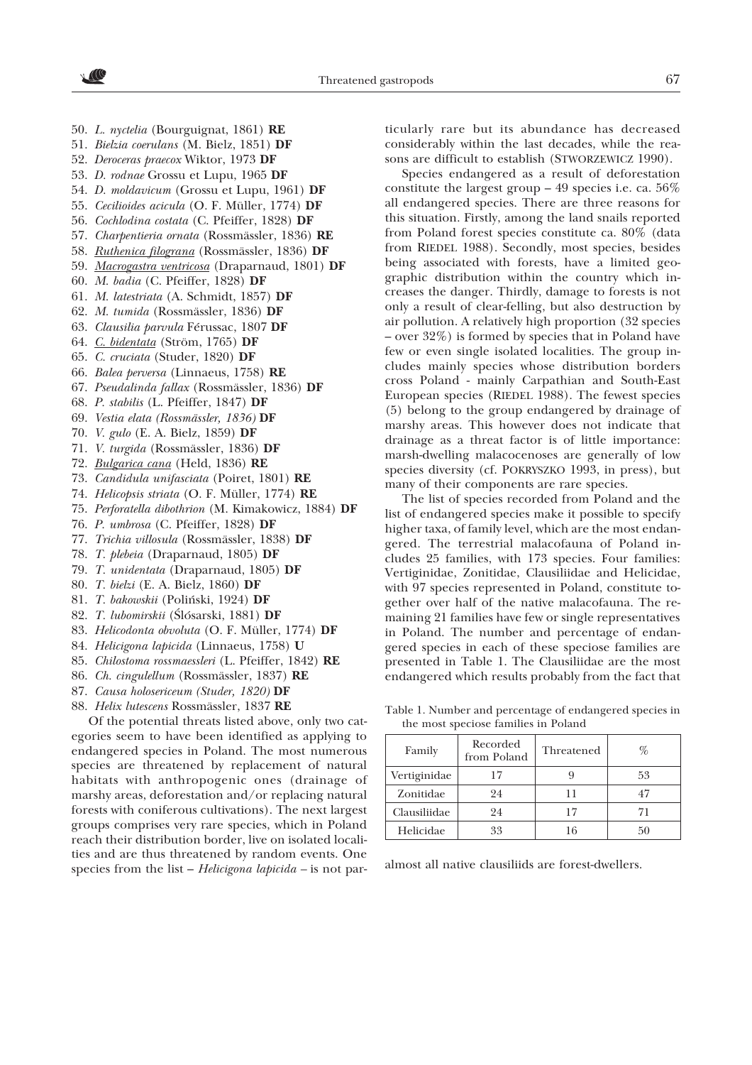- 50. *L. nyctelia* (Bourguignat, 1861) **RE**
- 51. *Bielzia coerulans* (M. Bielz, 1851) **DF**
- 52. *Deroceras praecox* Wiktor, 1973 **DF**
- 53. *D. rodnae* Grossu et Lupu, 1965 **DF**
- 54. *D. moldavicum* (Grossu et Lupu, 1961) **DF**
- 55. *Cecilioides acicula* (O. F. Müller, 1774) **DF**
- 56. *Cochlodina costata* (C. Pfeiffer, 1828) **DF**
- 57. *Charpentieria ornata* (Rossmässler, 1836) **RE**
- 58. *Ruthenica filograna* (Rossmässler, 1836) **DF**
- 59. *Macrogastra ventricosa* (Draparnaud, 1801) **DF**
- 60. *M. badia* (C. Pfeiffer, 1828) **DF**
- 61. *M. latestriata* (A. Schmidt, 1857) **DF**
- 62. *M. tumida* (Rossmässler, 1836) **DF**
- 63. *Clausilia parvula* Férussac, 1807 **DF**
- 64. *C. bidentata* (Ström, 1765) **DF**
- 65. *C. cruciata* (Studer, 1820) **DF**
- 66. *Balea perversa* (Linnaeus, 1758) **RE**
- 67. *Pseudalinda fallax* (Rossmässler, 1836) **DF**
- 68. *P. stabilis* (L. Pfeiffer, 1847) **DF**
- 69. *Vestia elata (Rossmässler, 1836)* **DF**
- 70. *V. gulo* (E. A. Bielz, 1859) **DF**
- 71. *V. turgida* (Rossmässler, 1836) **DF**
- 72. *Bulgarica cana* (Held, 1836) **RE**
- 73. *Candidula unifasciata* (Poiret, 1801) **RE**
- 74. *Helicopsis striata* (O. F. Müller, 1774) **RE**
- 75. *Perforatella dibothrion* (M. Kimakowicz, 1884) **DF**
- 76. *P. umbrosa* (C. Pfeiffer, 1828) **DF**
- 77. *Trichia villosula* (Rossmässler, 1838) **DF**
- 78. *T. plebeia* (Draparnaud, 1805) **DF**
- 79. *T. unidentata* (Draparnaud, 1805) **DF**
- 80. *T. bielzi* (E. A. Bielz, 1860) **DF**
- 81. *T. bakowskii* (Poliñski, 1924) **DF**
- 82. *T. lubomirskii* (Ślósarski, 1881) DF
- 83. *Helicodonta obvoluta* (O. F. Müller, 1774) **DF**
- 84. *Helicigona lapicida* (Linnaeus, 1758) **U**
- 85. *Chilostoma rossmaessleri* (L. Pfeiffer, 1842) **RE**
- 86. *Ch. cingulellum* (Rossmässler, 1837) **RE**
- 87. *Causa holosericeum (Studer, 1820)* **DF**
- 88. *Helix lutescens* Rossmässler, 1837 **RE**

Of the potential threats listed above, only two categories seem to have been identified as applying to endangered species in Poland. The most numerous species are threatened by replacement of natural habitats with anthropogenic ones (drainage of marshy areas, deforestation and/or replacing natural forests with coniferous cultivations). The next largest groups comprises very rare species, which in Poland reach their distribution border, live on isolated localities and are thus threatened by random events. One species from the list – *Helicigona lapicida –* is not particularly rare but its abundance has decreased considerably within the last decades, while the reasons are difficult to establish (STWORZEWICZ 1990).

Species endangered as a result of deforestation constitute the largest group  $-49$  species i.e. ca. 56% all endangered species. There are three reasons for this situation. Firstly, among the land snails reported from Poland forest species constitute ca. 80% (data from RIEDEL 1988). Secondly, most species, besides being associated with forests, have a limited geographic distribution within the country which increases the danger. Thirdly, damage to forests is not only a result of clear-felling, but also destruction by air pollution. A relatively high proportion (32 species – over  $32\%$ ) is formed by species that in Poland have few or even single isolated localities. The group includes mainly species whose distribution borders cross Poland - mainly Carpathian and South-East European species (RIEDEL 1988). The fewest species (5) belong to the group endangered by drainage of marshy areas. This however does not indicate that drainage as a threat factor is of little importance: marsh-dwelling malacocenoses are generally of low species diversity (cf. POKRYSZKO 1993, in press), but many of their components are rare species.

The list of species recorded from Poland and the list of endangered species make it possible to specify higher taxa, of family level, which are the most endangered. The terrestrial malacofauna of Poland includes 25 families, with 173 species. Four families: Vertiginidae, Zonitidae, Clausiliidae and Helicidae, with 97 species represented in Poland, constitute together over half of the native malacofauna. The remaining 21 families have few or single representatives in Poland. The number and percentage of endangered species in each of these speciose families are presented in Table 1. The Clausiliidae are the most endangered which results probably from the fact that

Table 1. Number and percentage of endangered species in the most speciose families in Poland

| Family       | Recorded<br>from Poland | Threatened | %  |
|--------------|-------------------------|------------|----|
| Vertiginidae | 17                      |            | 53 |
| Zonitidae    | 24                      | 11         | 47 |
| Clausiliidae | 24                      | 17         | 71 |
| Helicidae    | 33                      | 16         | 50 |

almost all native clausiliids are forest-dwellers.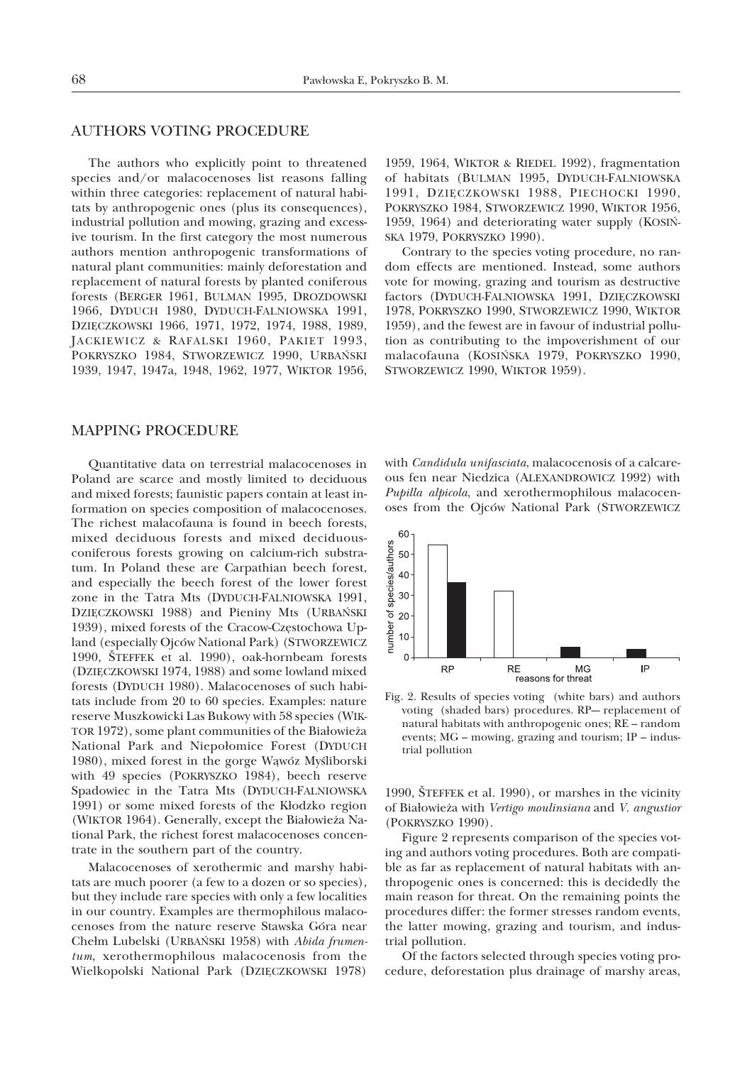# AUTHORS VOTING PROCEDURE

The authors who explicitly point to threatened species and/or malacocenoses list reasons falling within three categories: replacement of natural habitats by anthropogenic ones (plus its consequences), industrial pollution and mowing, grazing and excessive tourism. In the first category the most numerous authors mention anthropogenic transformations of natural plant communities: mainly deforestation and replacement of natural forests by planted coniferous forests (BERGER 1961, BULMAN 1995, DROZDOWSKI 1966, DYDUCH 1980, DYDUCH-FALNIOWSKA 1991, DZIĘCZKOWSKI 1966, 1971, 1972, 1974, 1988, 1989, JACKIEWICZ & RAFALSKI 1960, PAKIET 1993, POKRYSZKO 1984, STWORZEWICZ 1990, URBAÑSKI 1939, 1947, 1947a, 1948, 1962, 1977, WIKTOR 1956,

MAPPING PROCEDURE

Quantitative data on terrestrial malacocenoses in Poland are scarce and mostly limited to deciduous and mixed forests; faunistic papers contain at least information on species composition of malacocenoses. The richest malacofauna is found in beech forests, mixed deciduous forests and mixed deciduousconiferous forests growing on calcium-rich substratum. In Poland these are Carpathian beech forest, and especially the beech forest of the lower forest zone in the Tatra Mts (DYDUCH-FALNIOWSKA 1991, DZIĘCZKOWSKI 1988) and Pieniny Mts (URBAŃSKI 1939), mixed forests of the Cracow-Częstochowa Upland (especially Ojców National Park) (STWORZEWICZ 1990, ŠTEFFEK et al. 1990), oak-hornbeam forests (DZIÊCZKOWSKI 1974, 1988) and some lowland mixed forests (DYDUCH 1980). Malacocenoses of such habitats include from 20 to 60 species. Examples: nature reserve Muszkowicki Las Bukowy with 58 species (WIK-TOR 1972), some plant communities of the Białowieża National Park and Niepołomice Forest (DYDUCH 1980), mixed forest in the gorge Wąwóz Myśliborski with 49 species (POKRYSZKO 1984), beech reserve Spadowiec in the Tatra Mts (DYDUCH-FALNIOWSKA 1991) or some mixed forests of the Kłodzko region (WIKTOR 1964). Generally, except the Białowieża National Park, the richest forest malacocenoses concentrate in the southern part of the country.

Malacocenoses of xerothermic and marshy habitats are much poorer (a few to a dozen or so species), but they include rare species with only a few localities in our country. Examples are thermophilous malacocenoses from the nature reserve Stawska Góra near Chełm Lubelski (URBAŃSKI 1958) with *Abida frumentum*, xerothermophilous malacocenosis from the Wielkopolski National Park (DZIĘCZKOWSKI 1978)

1959, 1964, WIKTOR & RIEDEL 1992), fragmentation of habitats (BULMAN 1995, DYDUCH-FALNIOWSKA 1991, DZIĘCZKOWSKI 1988, PIECHOCKI 1990, POKRYSZKO 1984, STWORZEWICZ 1990, WIKTOR 1956, 1959, 1964) and deteriorating water supply (KOSIÑ-SKA 1979, POKRYSZKO 1990).

Contrary to the species voting procedure, no random effects are mentioned. Instead, some authors vote for mowing, grazing and tourism as destructive factors (DYDUCH-FALNIOWSKA 1991, DZIĘCZKOWSKI 1978, POKRYSZKO 1990, STWORZEWICZ 1990, WIKTOR 1959), and the fewest are in favour of industrial pollution as contributing to the impoverishment of our malacofauna (KOSIÑSKA 1979, POKRYSZKO 1990, STWORZEWICZ 1990, WIKTOR 1959).

with *Candidula unifasciata*, malacocenosis of a calcareous fen near Niedzica (ALEXANDROWICZ 1992) with *Pupilla alpicola*, and xerothermophilous malacocenoses from the Ojców National Park (STWORZEWICZ



Fig. 2. Results of species voting (white bars) and authors voting (shaded bars) procedures. RP–- replacement of natural habitats with anthropogenic ones; RE – random events; MG – mowing, grazing and tourism; IP – industrial pollution

1990, ŠTEFFEK et al. 1990), or marshes in the vicinity of Bia³owie¿a with *Vertigo moulinsiana* and *V. angustior* (POKRYSZKO 1990).

Figure 2 represents comparison of the species voting and authors voting procedures. Both are compatible as far as replacement of natural habitats with anthropogenic ones is concerned: this is decidedly the main reason for threat. On the remaining points the procedures differ: the former stresses random events, the latter mowing, grazing and tourism, and industrial pollution.

Of the factors selected through species voting procedure, deforestation plus drainage of marshy areas,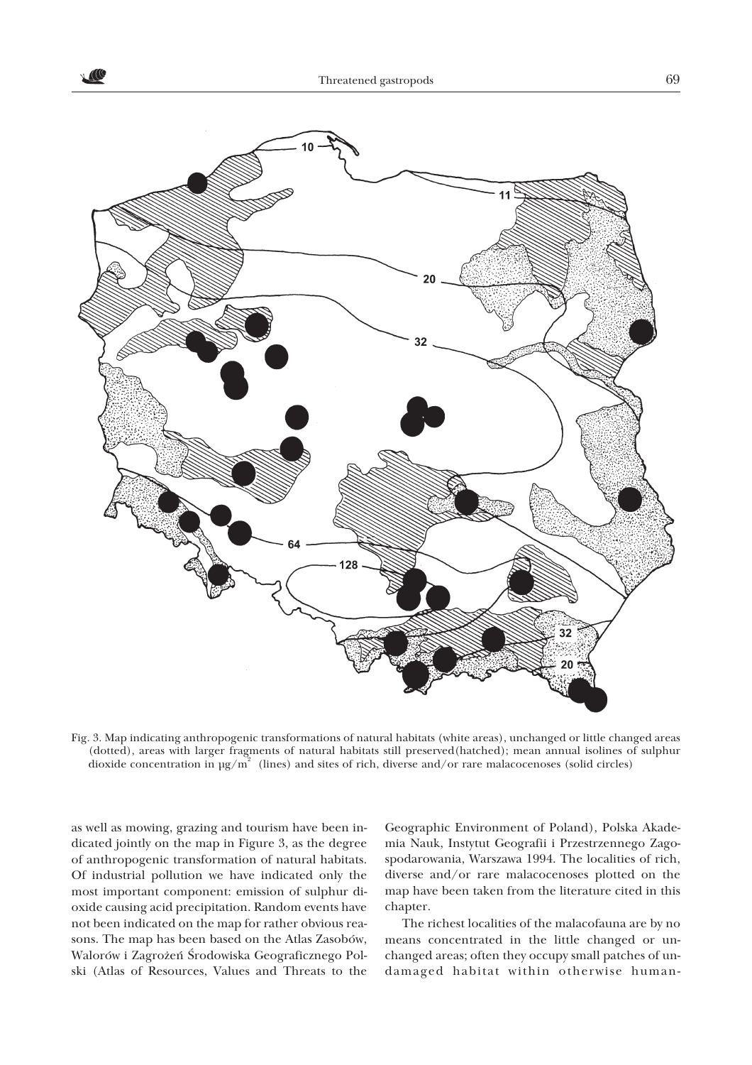

Fig. 3. Map indicating anthropogenic transformations of natural habitats (white areas), unchanged or little changed areas (dotted), areas with larger fragments of natural habitats still preserved(hatched); mean annual isolines of sulphur dioxide concentration in  $\mu$ g/m<sup>2</sup> (lines) and sites of rich, diverse and/or rare malacocenoses (solid circles)

as well as mowing, grazing and tourism have been indicated jointly on the map in Figure 3, as the degree of anthropogenic transformation of natural habitats. Of industrial pollution we have indicated only the most important component: emission of sulphur dioxide causing acid precipitation. Random events have not been indicated on the map for rather obvious reasons. The map has been based on the Atlas Zasobów, Walorów i Zagrożeń Środowiska Geograficznego Polski (Atlas of Resources, Values and Threats to the

Geographic Environment of Poland), Polska Akademia Nauk, Instytut Geografii i Przestrzennego Zagospodarowania, Warszawa 1994. The localities of rich, diverse and/or rare malacocenoses plotted on the map have been taken from the literature cited in this chapter.

The richest localities of the malacofauna are by no means concentrated in the little changed or unchanged areas; often they occupy small patches of undamaged habitat within otherwise human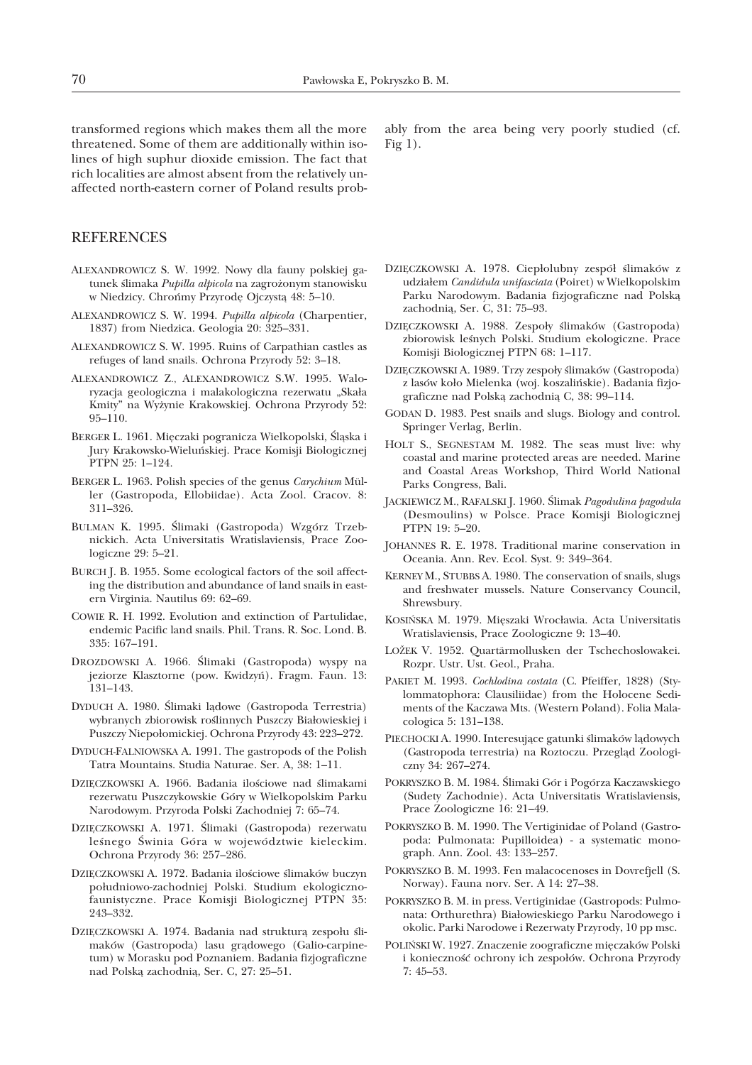transformed regions which makes them all the more threatened. Some of them are additionally within isolines of high suphur dioxide emission. The fact that rich localities are almost absent from the relatively unaffected north-eastern corner of Poland results prob-

**REFERENCES** 

- ALEXANDROWICZ S. W. 1992. Nowy dla fauny polskiej gatunek ślimaka Pupilla alpicola na zagrożonym stanowisku w Niedzicy. Chrońmy Przyrodę Ojczystą 48: 5-10.
- ALEXANDROWICZ S. W. 1994. *Pupilla alpicola* (Charpentier, 1837) from Niedzica. Geologia 20: 325–331.
- ALEXANDROWICZ S. W. 1995. Ruins of Carpathian castles as refuges of land snails. Ochrona Przyrody 52: 3–18.
- ALEXANDROWICZ Z., ALEXANDROWICZ S.W. 1995. Waloryzacja geologiczna i malakologiczna rezerwatu "Skała Kmity" na Wy¿ynie Krakowskiej. Ochrona Przyrody 52: 95–110.
- BERGER L. 1961. Mięczaki pogranicza Wielkopolski, Śląska i Jury Krakowsko-Wieluñskiej. Prace Komisji Biologicznej PTPN 25: 1–124.
- BERGER L. 1963. Polish species of the genus *Carychium* Müller (Gastropoda, Ellobiidae). Acta Zool. Cracov. 8: 311–326.
- BULMAN K. 1995. Ślimaki (Gastropoda) Wzgórz Trzebnickich. Acta Universitatis Wratislaviensis, Prace Zoologiczne 29: 5–21.
- BURCH J. B. 1955. Some ecological factors of the soil affecting the distribution and abundance of land snails in eastern Virginia. Nautilus 69: 62–69.
- COWIE R. H. 1992. Evolution and extinction of Partulidae, endemic Pacific land snails. Phil. Trans. R. Soc. Lond. B. 335: 167–191.
- DROZDOWSKI A. 1966. Ślimaki (Gastropoda) wyspy na jeziorze Klasztorne (pow. Kwidzyñ). Fragm. Faun. 13: 131–143.
- DYDUCH A. 1980. Ślimaki ladowe (Gastropoda Terrestria) wybranych zbiorowisk roślinnych Puszczy Białowieskiej i Puszczy Niepołomickiej. Ochrona Przyrody 43: 223-272.
- DYDUCH-FALNIOWSKA A. 1991. The gastropods of the Polish Tatra Mountains. Studia Naturae. Ser. A, 38: 1–11.
- DZIECZKOWSKI A. 1966. Badania ilościowe nad ślimakami rezerwatu Puszczykowskie Góry w Wielkopolskim Parku Narodowym. Przyroda Polski Zachodniej 7: 65–74.
- DZIECZKOWSKI A. 1971. Ślimaki (Gastropoda) rezerwatu leśnego Świnia Góra w województwie kieleckim. Ochrona Przyrody 36: 257–286.
- DZIĘCZKOWSKI A. 1972. Badania ilościowe ślimaków buczyn południowo-zachodniej Polski. Studium ekologicznofaunistyczne. Prace Komisji Biologicznej PTPN 35: 243–332.
- DZIĘCZKOWSKI A. 1974. Badania nad strukturą zespołu ślimaków (Gastropoda) lasu grądowego (Galio-carpinetum) w Morasku pod Poznaniem. Badania fizjograficzne nad Polską zachodnią, Ser. C, 27: 25-51.

ably from the area being very poorly studied (cf. Fig 1).

- DZIĘCZKOWSKI A. 1978. Ciepłolubny zespół ślimaków z udzia³em *Candidula unifasciata* (Poiret) w Wielkopolskim Parku Narodowym. Badania fizjograficzne nad Polską zachodnia, Ser. C, 31: 75-93.
- DZIĘCZKOWSKI A. 1988. Zespoły ślimaków (Gastropoda) zbiorowisk leśnych Polski. Studium ekologiczne. Prace Komisji Biologicznej PTPN 68: 1–117.
- DZIĘCZKOWSKI A. 1989. Trzy zespoły ślimaków (Gastropoda) z lasów koło Mielenka (woj. koszalińskie). Badania fizjograficzne nad Polską zachodnią C, 38: 99-114.
- GODAN D. 1983. Pest snails and slugs. Biology and control. Springer Verlag, Berlin.
- HOLT S., SEGNESTAM M. 1982. The seas must live: why coastal and marine protected areas are needed. Marine and Coastal Areas Workshop, Third World National Parks Congress, Bali.
- JACKIEWICZ M., RAFALSKI J. 1960. Œlimak *Pagodulina pagodula* (Desmoulins) w Polsce. Prace Komisji Biologicznej PTPN 19: 5–20.
- JOHANNES R. E. 1978. Traditional marine conservation in Oceania. Ann. Rev. Ecol. Syst. 9: 349–364.
- KERNEY M., STUBBS A. 1980. The conservation of snails, slugs and freshwater mussels. Nature Conservancy Council, Shrewsbury.
- KOSIŃSKA M. 1979. Mięszaki Wrocławia. Acta Universitatis Wratislaviensis, Prace Zoologiczne 9: 13–40.
- LOŽEK V. 1952. Quartärmollusken der Tschechoslowakei. Rozpr. Ustr. Ust. Geol., Praha.
- PAKIET M. 1993. *Cochlodina costata* (C. Pfeiffer, 1828) (Stylommatophora: Clausiliidae) from the Holocene Sediments of the Kaczawa Mts. (Western Poland). Folia Malacologica 5: 131–138.
- PIECHOCKI A. 1990. Interesujące gatunki ślimaków lądowych (Gastropoda terrestria) na Roztoczu. Przegląd Zoologiczny 34: 267–274.
- POKRYSZKO B. M. 1984. Ślimaki Gór i Pogórza Kaczawskiego (Sudety Zachodnie). Acta Universitatis Wratislaviensis, Prace Zoologiczne 16: 21–49.
- POKRYSZKO B. M. 1990. The Vertiginidae of Poland (Gastropoda: Pulmonata: Pupilloidea) - a systematic monograph. Ann. Zool. 43: 133–257.
- POKRYSZKO B. M. 1993. Fen malacocenoses in Dovrefjell (S. Norway). Fauna norv. Ser. A 14: 27–38.
- POKRYSZKO B. M. in press. Vertiginidae (Gastropods: Pulmonata: Orthurethra) Białowieskiego Parku Narodowego i okolic. Parki Narodowe i Rezerwaty Przyrody, 10 pp msc.
- POLIŃSKI W. 1927. Znaczenie zoograficzne mięczaków Polski i konieczność ochrony ich zespołów. Ochrona Przyrody 7: 45–53.